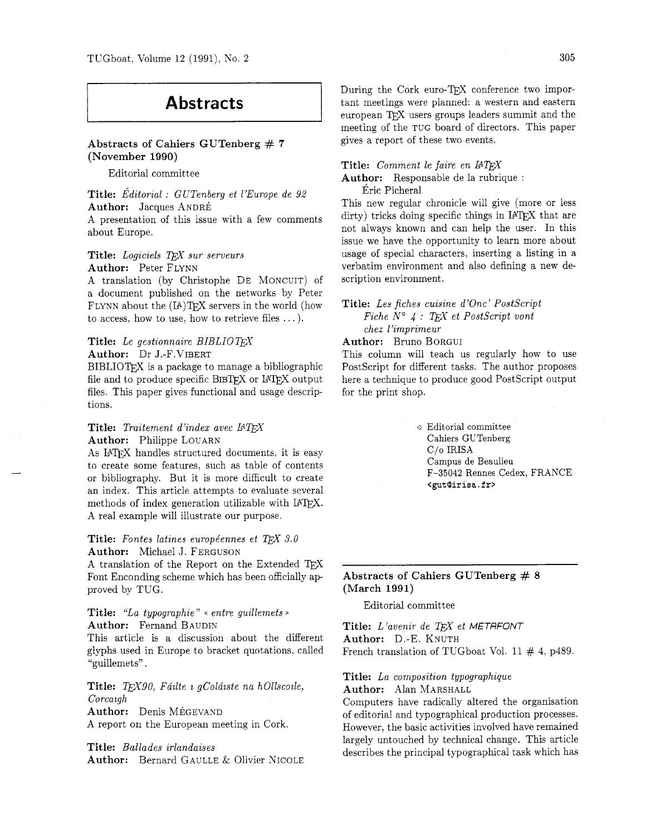# **Abstracts**

## **Abstracts of Cahiers GUTenberg** # **<sup>7</sup> (November 1990)**

Editorial committee

**Title:** *~ditorial* : *GUTenberg et 1'Europe de <sup>92</sup>* Author: Jacques ANDRÉ A presentation of this issue with a few comments about Europe.

Title: Logiciels TEX sur serveurs **Author:** Peter FLYNN

A translation (by Christophe DE MONCUIT) of a document published on the networks by Peter FLYNN about the  $(IA)TEX$  servers in the world (how to access, how to use, how to retrieve files  $\dots$ ).

## **Title:** Le gestionnaire BIBLIOT<sub>E</sub>X **Author:** Dr J.-F.VIBERT

BIBLIOTEX is a package to manage a bibliographic file and to produce specific BIBTFX or IATFX output files. This paper gives functional and usage descriptions.

## **Title:** *Traitement d'index avec IATEX* **Author:** Philippe LOUARN

As IATEX handles structured documents, it is easy to create some features, such as table of contents or bibliography. But it is more difficult to create an index. This article attempts to evaluate several methods of index generation utilizable with IATFX. A real example will illustrate our purpose.

## **Title:** Fontes latines européennes et TEX 3.0 **Author:** Michael J. FERGUSON

A translation of the Report on the Extended TFX Font Enconding scheme which has been officially approved by TUG.

## **Title:** *"La typographie"* << *entre guillemets* >) **Author:** Fernand BAUDIN

This article is a discussion about the different glyphs used in Europe to bracket quotations. called "guillemets" .

**Title:** *TEX90, Fáilte i gColáiste na hOllscoile, Corcazgh*  **Author:** Denis MEGEVAND A report on the European meeting in Cork.

**Title:** *Ballades irlandaises*  **Author:** Bernard GAULLE & Olivier NICOLE During the Cork euro-TFX conference two important meetings were planned: a western and eastern european TFX users groups leaders summit and the meeting of the TUG board of directors. This paper gives a report of these two events.

**Title:** *Comment le faire en* 

**Author:** Responsable de la rubrique :

Éric Picheral

This new regular chronicle will give (more or less dirty) tricks doing specific things in IATEX that are not always known and can help the user. In this issue we have the opportunity to learn more about usage of special characters, inserting a listing in a verbatim environment and also defining a new description environment.

**Title:** *Les fiches cuisine d'0nc' PostScript Fiche*  $N^{\circ}$  4 : TEX et PostScript vont *chez l'imprimeur* 

**Author:** Bruno BORGUI

This column will teach us regularly how to use PostScript for different tasks. The author proposes here a technique to produce good PostScript output for the print shop.

> $\diamond$  Editorial committee Cahiers GUTenberg C/o IRISA Campus de Beaulieu F-35042 Rennes Cedex, FRANCE **<gut@irisa.fr>**

## **Abstracts of Cahiers GUTenberg** # **<sup>8</sup> (March 1991)**

Editorial committee

Title: *L'avenir de TEX et METAFONT* **Author:** D.-E. KNUTH French translation of TUGboat Vol. 11  $\#$  4, p489.

#### **Title:** *La composition typographique*

**Author:** Alan MARSHALL

Computers have radically altered the organisation of editorial and typographical production processes. However, the basic activities involved have remained largely untouched by technical change. This article describes the principal typographical task which has